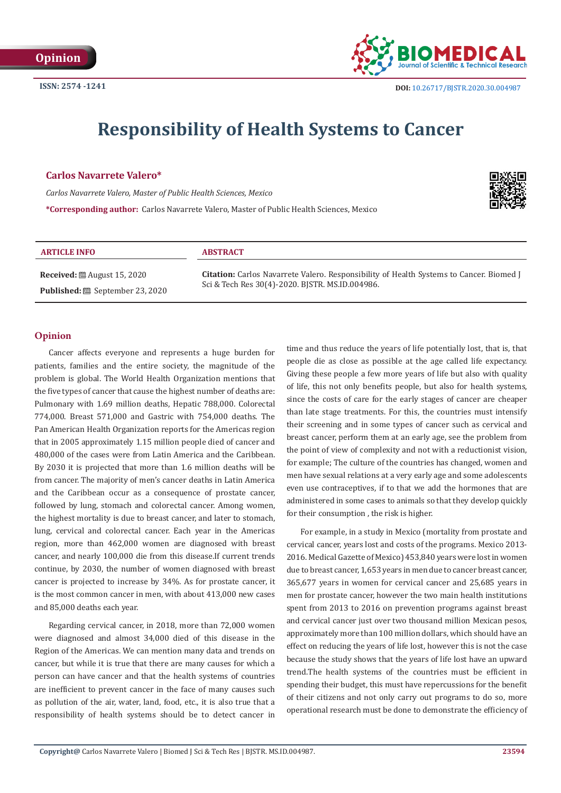

# **Responsibility of Health Systems to Cancer**

# **Carlos Navarrete Valero\***

*Carlos Navarrete Valero, Master of Public Health Sciences, Mexico*

**\*Corresponding author:** Carlos Navarrete Valero, Master of Public Health Sciences, Mexico



# **ARTICLE INFO ABSTRACT**

**Received:** ■ August 15, 2020 **Published:** September 23, 2020 **Citation:** Carlos Navarrete Valero. Responsibility of Health Systems to Cancer. Biomed J Sci & Tech Res 30(4)-2020. BJSTR. MS.ID.004986.

# **Opinion**

Cancer affects everyone and represents a huge burden for patients, families and the entire society, the magnitude of the problem is global. The World Health Organization mentions that the five types of cancer that cause the highest number of deaths are: Pulmonary with 1.69 million deaths, Hepatic 788,000. Colorectal 774,000. Breast 571,000 and Gastric with 754,000 deaths. The Pan American Health Organization reports for the Americas region that in 2005 approximately 1.15 million people died of cancer and 480,000 of the cases were from Latin America and the Caribbean. By 2030 it is projected that more than 1.6 million deaths will be from cancer. The majority of men's cancer deaths in Latin America and the Caribbean occur as a consequence of prostate cancer, followed by lung, stomach and colorectal cancer. Among women, the highest mortality is due to breast cancer, and later to stomach, lung, cervical and colorectal cancer. Each year in the Americas region, more than 462,000 women are diagnosed with breast cancer, and nearly 100,000 die from this disease.If current trends continue, by 2030, the number of women diagnosed with breast cancer is projected to increase by 34%. As for prostate cancer, it is the most common cancer in men, with about 413,000 new cases and 85,000 deaths each year.

Regarding cervical cancer, in 2018, more than 72,000 women were diagnosed and almost 34,000 died of this disease in the Region of the Americas. We can mention many data and trends on cancer, but while it is true that there are many causes for which a person can have cancer and that the health systems of countries are inefficient to prevent cancer in the face of many causes such as pollution of the air, water, land, food, etc., it is also true that a responsibility of health systems should be to detect cancer in time and thus reduce the years of life potentially lost, that is, that people die as close as possible at the age called life expectancy. Giving these people a few more years of life but also with quality of life, this not only benefits people, but also for health systems, since the costs of care for the early stages of cancer are cheaper than late stage treatments. For this, the countries must intensify their screening and in some types of cancer such as cervical and breast cancer, perform them at an early age, see the problem from the point of view of complexity and not with a reductionist vision, for example; The culture of the countries has changed, women and men have sexual relations at a very early age and some adolescents even use contraceptives, if to that we add the hormones that are administered in some cases to animals so that they develop quickly for their consumption , the risk is higher.

For example, in a study in Mexico (mortality from prostate and cervical cancer, years lost and costs of the programs. Mexico 2013- 2016. Medical Gazette of Mexico) 453,840 years were lost in women due to breast cancer, 1,653 years in men due to cancer breast cancer, 365,677 years in women for cervical cancer and 25,685 years in men for prostate cancer, however the two main health institutions spent from 2013 to 2016 on prevention programs against breast and cervical cancer just over two thousand million Mexican pesos, approximately more than 100 million dollars, which should have an effect on reducing the years of life lost, however this is not the case because the study shows that the years of life lost have an upward trend.The health systems of the countries must be efficient in spending their budget, this must have repercussions for the benefit of their citizens and not only carry out programs to do so, more operational research must be done to demonstrate the efficiency of